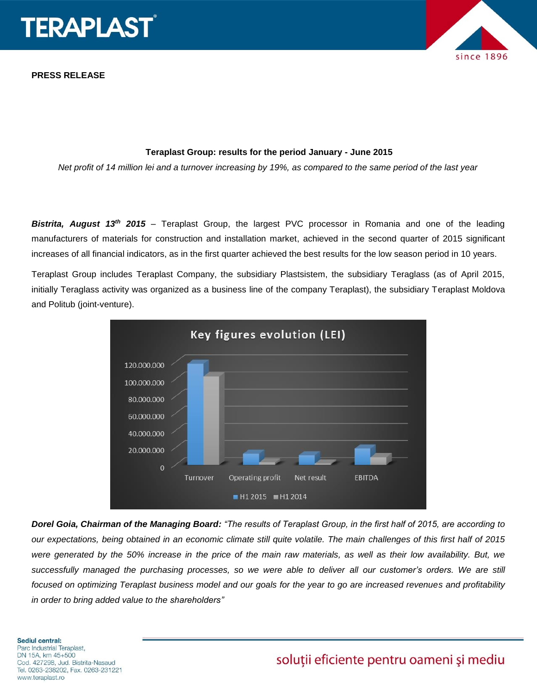

**PRESS RELEASE**



#### **Teraplast Group: results for the period January - June 2015**

*Net profit of 14 million lei and a turnover increasing by 19%, as compared to the same period of the last year*

*Bistrita, August 13th 2015* – Teraplast Group, the largest PVC processor in Romania and one of the leading manufacturers of materials for construction and installation market, achieved in the second quarter of 2015 significant increases of all financial indicators, as in the first quarter achieved the best results for the low season period in 10 years.

Teraplast Group includes Teraplast Company, the subsidiary Plastsistem, the subsidiary Teraglass (as of April 2015, initially Teraglass activity was organized as a business line of the company Teraplast), the subsidiary Teraplast Moldova and Politub (joint-venture).



*Dorel Goia, Chairman of the Managing Board: "The results of Teraplast Group, in the first half of 2015, are according to our expectations, being obtained in an economic climate still quite volatile. The main challenges of this first half of 2015 were generated by the 50% increase in the price of the main raw materials, as well as their low availability. But, we successfully managed the purchasing processes, so we were able to deliver all our customer's orders. We are still focused on optimizing Teraplast business model and our goals for the year to go are increased revenues and profitability in order to bring added value to the shareholders"*

#### **Sediul central:** Parc Industrial Teraplast, DN 15A, km 45+500

Cod. 427298, Jud. Bistrita-Nasaud Tel. 0263-238202, Fax. 0263-231221 www.teraplast.ro

# soluții eficiente pentru oameni și mediu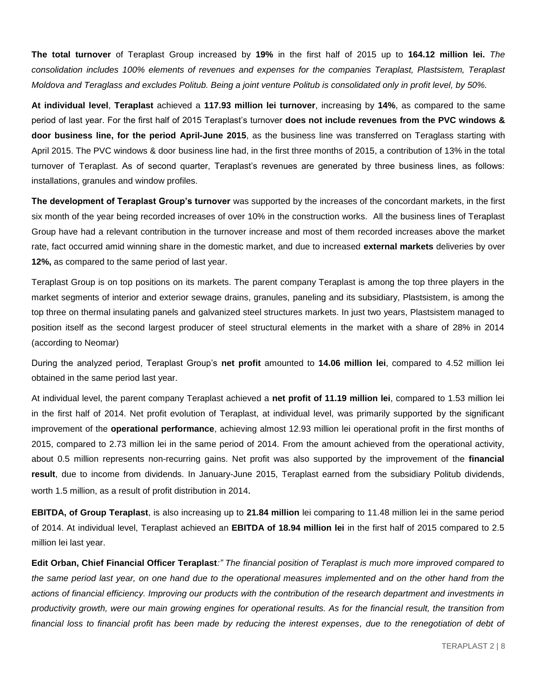**The total turnover** of Teraplast Group increased by **19%** in the first half of 2015 up to **164.12 million lei.** *The consolidation includes 100% elements of revenues and expenses for the companies Teraplast, Plastsistem, Teraplast Moldova and Teraglass and excludes Politub. Being a joint venture Politub is consolidated only in profit level, by 50%.*

**At individual level**, **Teraplast** achieved a **117.93 million lei turnover**, increasing by **14%**, as compared to the same period of last year. For the first half of 2015 Teraplast's turnover **does not include revenues from the PVC windows & door business line, for the period April-June 2015**, as the business line was transferred on Teraglass starting with April 2015. The PVC windows & door business line had, in the first three months of 2015, a contribution of 13% in the total turnover of Teraplast. As of second quarter, Teraplast's revenues are generated by three business lines, as follows: installations, granules and window profiles.

**The development of Teraplast Group's turnover** was supported by the increases of the concordant markets, in the first six month of the year being recorded increases of over 10% in the construction works. All the business lines of Teraplast Group have had a relevant contribution in the turnover increase and most of them recorded increases above the market rate, fact occurred amid winning share in the domestic market, and due to increased **external markets** deliveries by over **12%,** as compared to the same period of last year.

Teraplast Group is on top positions on its markets. The parent company Teraplast is among the top three players in the market segments of interior and exterior sewage drains, granules, paneling and its subsidiary, Plastsistem, is among the top three on thermal insulating panels and galvanized steel structures markets. In just two years, Plastsistem managed to position itself as the second largest producer of steel structural elements in the market with a share of 28% in 2014 (according to Neomar)

During the analyzed period, Teraplast Group's **net profit** amounted to **14.06 million lei**, compared to 4.52 million lei obtained in the same period last year.

At individual level, the parent company Teraplast achieved a **net profit of 11.19 million lei**, compared to 1.53 million lei in the first half of 2014. Net profit evolution of Teraplast, at individual level, was primarily supported by the significant improvement of the **operational performance**, achieving almost 12.93 million lei operational profit in the first months of 2015, compared to 2.73 million lei in the same period of 2014. From the amount achieved from the operational activity, about 0.5 million represents non-recurring gains. Net profit was also supported by the improvement of the **financial result**, due to income from dividends. In January-June 2015, Teraplast earned from the subsidiary Politub dividends, worth 1.5 million, as a result of profit distribution in 2014.

**EBITDA, of Group Teraplast**, is also increasing up to **21.84 million** lei comparing to 11.48 million lei in the same period of 2014. At individual level, Teraplast achieved an **EBITDA of 18.94 million lei** in the first half of 2015 compared to 2.5 million lei last year.

**Edit Orban, Chief Financial Officer Teraplast***:" The financial position of Teraplast is much more improved compared to the same period last year, on one hand due to the operational measures implemented and on the other hand from the actions of financial efficiency. Improving our products with the contribution of the research department and investments in productivity growth, were our main growing engines for operational results. As for the financial result, the transition from financial loss to financial profit has been made by reducing the interest expenses, due to the renegotiation of debt of*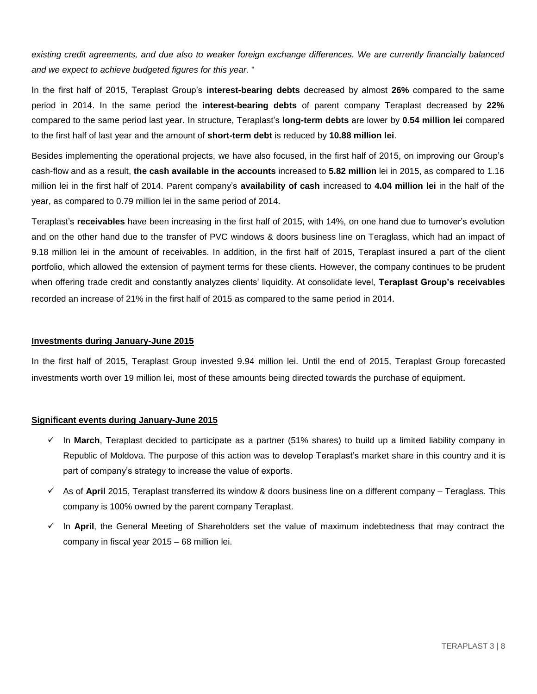*existing credit agreements, and due also to weaker foreign exchange differences. We are currently financially balanced and we expect to achieve budgeted figures for this year*. "

In the first half of 2015, Teraplast Group's **interest-bearing debts** decreased by almost **26%** compared to the same period in 2014. In the same period the **interest-bearing debts** of parent company Teraplast decreased by **22%** compared to the same period last year. In structure, Teraplast's **long-term debts** are lower by **0.54 million lei** compared to the first half of last year and the amount of **short-term debt** is reduced by **10.88 million lei**.

Besides implementing the operational projects, we have also focused, in the first half of 2015, on improving our Group's cash-flow and as a result, **the cash available in the accounts** increased to **5.82 million** lei in 2015, as compared to 1.16 million lei in the first half of 2014. Parent company's **availability of cash** increased to **4.04 million lei** in the half of the year, as compared to 0.79 million lei in the same period of 2014.

Teraplast's **receivables** have been increasing in the first half of 2015, with 14%, on one hand due to turnover's evolution and on the other hand due to the transfer of PVC windows & doors business line on Teraglass, which had an impact of 9.18 million lei in the amount of receivables. In addition, in the first half of 2015, Teraplast insured a part of the client portfolio, which allowed the extension of payment terms for these clients. However, the company continues to be prudent when offering trade credit and constantly analyzes clients' liquidity. At consolidate level, **Teraplast Group's receivables** recorded an increase of 21% in the first half of 2015 as compared to the same period in 2014.

#### **Investments during January-June 2015**

In the first half of 2015, Teraplast Group invested 9.94 million lei. Until the end of 2015, Teraplast Group forecasted investments worth over 19 million lei, most of these amounts being directed towards the purchase of equipment.

#### **Significant events during January-June 2015**

- $\checkmark$  In **March**, Teraplast decided to participate as a partner (51% shares) to build up a limited liability company in Republic of Moldova. The purpose of this action was to develop Teraplast's market share in this country and it is part of company's strategy to increase the value of exports.
- As of **April** 2015, Teraplast transferred its window & doors business line on a different company Teraglass. This company is 100% owned by the parent company Teraplast.
- $\checkmark$  In **April**, the General Meeting of Shareholders set the value of maximum indebtedness that may contract the company in fiscal year 2015 – 68 million lei.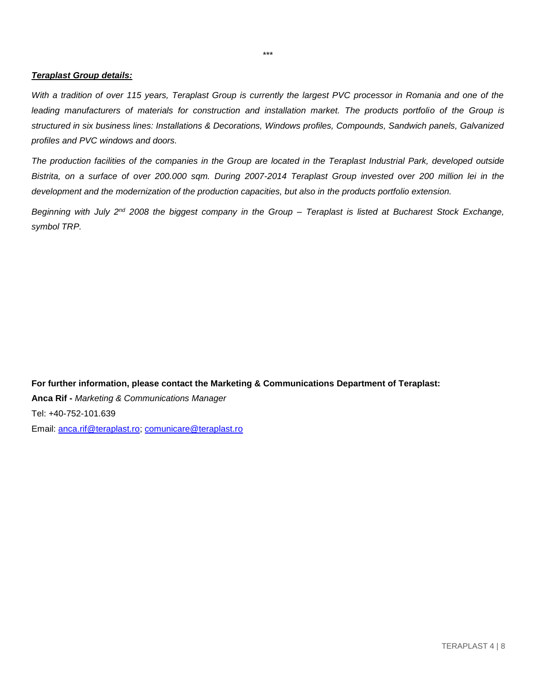#### *Teraplast Group details:*

*With a tradition of over 115 years, Teraplast Group is currently the largest PVC processor in Romania and one of the*  leading manufacturers of materials for construction and installation market. The products portfolio of the Group is *structured in six business lines: Installations & Decorations, Windows profiles, Compounds, Sandwich panels, Galvanized profiles and PVC windows and doors.*

*The production facilities of the companies in the Group are located in the Teraplast Industrial Park, developed outside Bistrita, on a surface of over 200.000 sqm. During 2007-2014 Teraplast Group invested over 200 million lei in the*  development and the modernization of the production capacities, but also in the products portfolio extension.

*Beginning with July 2nd 2008 the biggest company in the Group – Teraplast is listed at Bucharest Stock Exchange, symbol TRP.* 

**For further information, please contact the Marketing & Communications Department of Teraplast: Anca Rif -** *Marketing & Communications Manager* Tel: +40-752-101.639 Email: [anca.rif@teraplast.ro;](mailto:anca.rif@teraplast.ro) [comunicare@teraplast.ro](mailto:comunicare@teraplast.ro)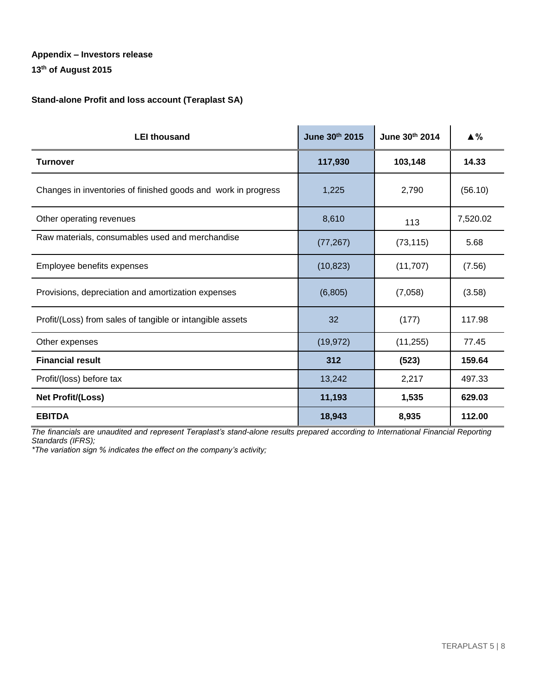# **13th of August 2015**

#### **Stand-alone Profit and loss account (Teraplast SA)**

| <b>LEI thousand</b>                                           | June 30th 2015 | June 30th 2014 | $\triangle$ % |
|---------------------------------------------------------------|----------------|----------------|---------------|
| <b>Turnover</b>                                               | 117,930        | 103,148        | 14.33         |
| Changes in inventories of finished goods and work in progress | 1,225          | 2,790          | (56.10)       |
| Other operating revenues                                      | 8,610          | 113            | 7,520.02      |
| Raw materials, consumables used and merchandise               | (77, 267)      | (73, 115)      | 5.68          |
| Employee benefits expenses                                    | (10, 823)      | (11,707)       | (7.56)        |
| Provisions, depreciation and amortization expenses            | (6,805)        | (7,058)        | (3.58)        |
| Profit/(Loss) from sales of tangible or intangible assets     | 32             | (177)          | 117.98        |
| Other expenses                                                | (19, 972)      | (11, 255)      | 77.45         |
| <b>Financial result</b>                                       | 312            | (523)          | 159.64        |
| Profit/(loss) before tax                                      | 13,242         | 2,217          | 497.33        |
| Net Profit/(Loss)                                             | 11,193         | 1,535          | 629.03        |
| <b>EBITDA</b>                                                 | 18,943         | 8,935          | 112.00        |

*The financials are unaudited and represent Teraplast's stand-alone results prepared according to International Financial Reporting Standards (IFRS);*

*\*The variation sign % indicates the effect on the company's activity;*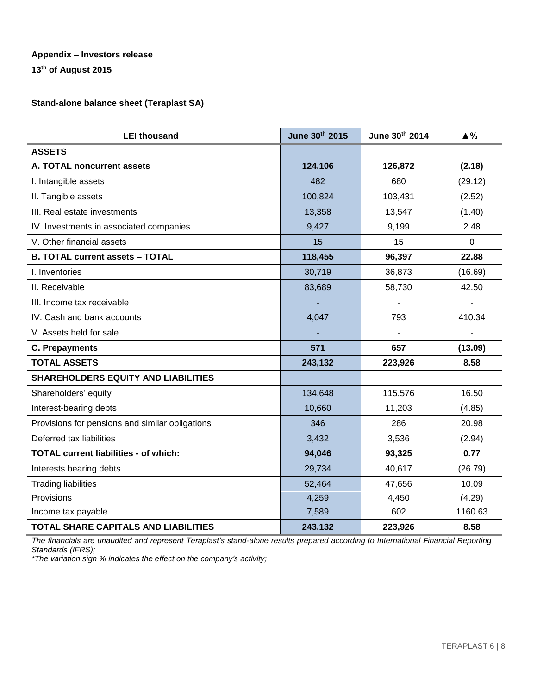**13th of August 2015**

## **Stand-alone balance sheet (Teraplast SA)**

| <b>LEI thousand</b>                             | June 30th 2015 | June 30th 2014           | $\triangle$ % |
|-------------------------------------------------|----------------|--------------------------|---------------|
| <b>ASSETS</b>                                   |                |                          |               |
| A. TOTAL noncurrent assets                      | 124,106        | 126,872                  | (2.18)        |
| I. Intangible assets                            | 482            | 680                      | (29.12)       |
| II. Tangible assets                             | 100,824        | 103,431                  | (2.52)        |
| III. Real estate investments                    | 13,358         | 13,547                   | (1.40)        |
| IV. Investments in associated companies         | 9,427          | 9,199                    | 2.48          |
| V. Other financial assets                       | 15             | 15                       | 0             |
| <b>B. TOTAL current assets - TOTAL</b>          | 118,455        | 96,397                   | 22.88         |
| I. Inventories                                  | 30,719         | 36,873                   | (16.69)       |
| II. Receivable                                  | 83,689         | 58,730                   | 42.50         |
| III. Income tax receivable                      |                | $\overline{\phantom{a}}$ |               |
| IV. Cash and bank accounts                      | 4,047          | 793                      | 410.34        |
| V. Assets held for sale                         |                |                          |               |
| <b>C. Prepayments</b>                           | 571            | 657                      | (13.09)       |
| <b>TOTAL ASSETS</b>                             | 243,132        | 223,926                  | 8.58          |
| <b>SHAREHOLDERS EQUITY AND LIABILITIES</b>      |                |                          |               |
| Shareholders' equity                            | 134,648        | 115,576                  | 16.50         |
| Interest-bearing debts                          | 10,660         | 11,203                   | (4.85)        |
| Provisions for pensions and similar obligations | 346            | 286                      | 20.98         |
| Deferred tax liabilities                        | 3,432          | 3,536                    | (2.94)        |
| <b>TOTAL current liabilities - of which:</b>    | 94,046         | 93,325                   | 0.77          |
| Interests bearing debts                         | 29,734         | 40,617                   | (26.79)       |
| <b>Trading liabilities</b>                      | 52,464         | 47,656                   | 10.09         |
| Provisions                                      | 4,259          | 4,450                    | (4.29)        |
| Income tax payable                              | 7,589          | 602                      | 1160.63       |
| TOTAL SHARE CAPITALS AND LIABILITIES            | 243,132        | 223,926                  | 8.58          |

*The financials are unaudited and represent Teraplast's stand-alone results prepared according to International Financial Reporting Standards (IFRS);*

*\*The variation sign % indicates the effect on the company's activity;*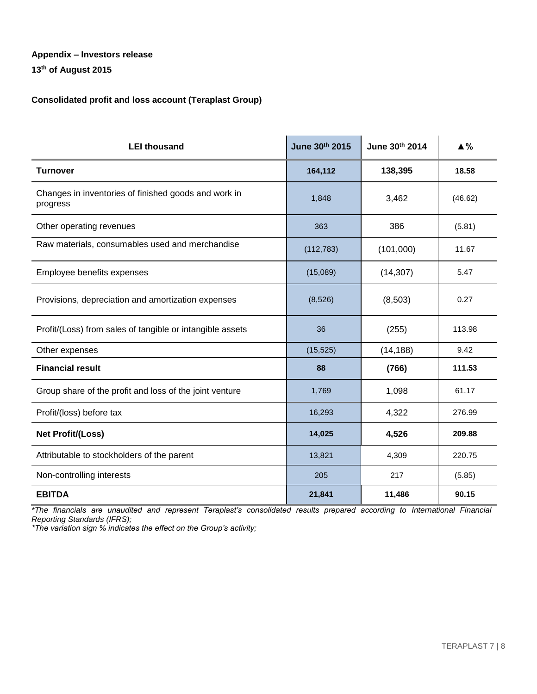**13th of August 2015**

#### **Consolidated profit and loss account (Teraplast Group)**

| <b>LEI thousand</b>                                              | June 30th 2015 | June 30th 2014 | $\triangle$ % |
|------------------------------------------------------------------|----------------|----------------|---------------|
| <b>Turnover</b>                                                  | 164,112        | 138,395        | 18.58         |
| Changes in inventories of finished goods and work in<br>progress | 1,848          | 3,462          | (46.62)       |
| Other operating revenues                                         | 363            | 386            | (5.81)        |
| Raw materials, consumables used and merchandise                  | (112, 783)     | (101,000)      | 11.67         |
| Employee benefits expenses                                       | (15,089)       | (14, 307)      | 5.47          |
| Provisions, depreciation and amortization expenses               | (8,526)        | (8,503)        | 0.27          |
| Profit/(Loss) from sales of tangible or intangible assets        | 36             | (255)          | 113.98        |
| Other expenses                                                   | (15, 525)      | (14, 188)      | 9.42          |
| <b>Financial result</b>                                          | 88             | (766)          | 111.53        |
| Group share of the profit and loss of the joint venture          | 1,769          | 1,098          | 61.17         |
| Profit/(loss) before tax                                         | 16,293         | 4,322          | 276.99        |
| Net Profit/(Loss)                                                | 14,025         | 4,526          | 209.88        |
| Attributable to stockholders of the parent                       | 13,821         | 4,309          | 220.75        |
| Non-controlling interests                                        | 205            | 217            | (5.85)        |
| <b>EBITDA</b>                                                    | 21,841         | 11,486         | 90.15         |

*\*The financials are unaudited and represent Teraplast's consolidated results prepared according to International Financial Reporting Standards (IFRS);*

*\*The variation sign % indicates the effect on the Group's activity;*